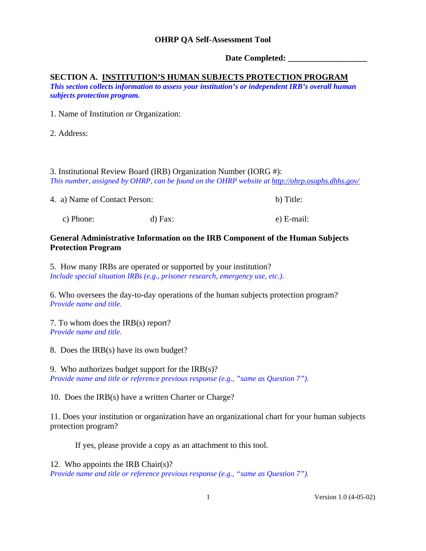**Date Completed: \_\_\_\_\_\_\_\_\_\_\_\_\_\_\_\_\_\_\_**

## **SECTION A. INSTITUTION'S HUMAN SUBJECTS PROTECTION PROGRAM**

*This section collects information to assess your institution's or independent IRB's overall human subjects protection program.* 

1. Name of Institution or Organization:

2. Address:

3. Institutional Review Board (IRB) Organization Number (IORG #): *This number, assigned by OHRP, can be found on the OHRP website at <http://ohrp.osophs.dhhs.gov/>*

| 4. a) Name of Contact Person: |           | b) Title:  |
|-------------------------------|-----------|------------|
| c) Phone:                     | $d)$ Fax: | e) E-mail: |

## **General Administrative Information on the IRB Component of the Human Subjects Protection Program**

5. How many IRBs are operated or supported by your institution? *Include special situation IRBs (e.g., prisoner research, emergency use, etc.)*.

6. Who oversees the day-to-day operations of the human subjects protection program? *Provide name and title.* 

7. To whom does the IRB(s) report? *Provide name and title.* 

8. Does the IRB(s) have its own budget?

9. Who authorizes budget support for the  $IRB(s)$ ? *Provide name and title or reference previous response (e.g., "same as Question 7").* 

10. Does the IRB(s) have a written Charter or Charge?

11. Does your institution or organization have an organizational chart for your human subjects protection program?

If yes, please provide a copy as an attachment to this tool.

12. Who appoints the IRB Chair(s)?

*Provide name and title or reference previous response (e.g., "same as Question 7").*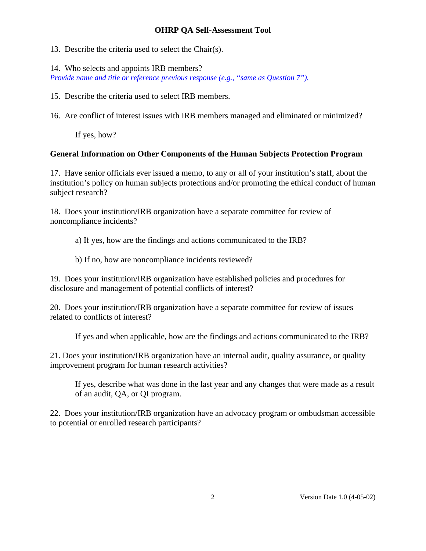13. Describe the criteria used to select the Chair(s).

14. Who selects and appoints IRB members?

*Provide name and title or reference previous response (e.g., "same as Question 7").*

15. Describe the criteria used to select IRB members.

16. Are conflict of interest issues with IRB members managed and eliminated or minimized?

If yes, how?

# **General Information on Other Components of the Human Subjects Protection Program**

17. Have senior officials ever issued a memo, to any or all of your institution's staff, about the institution's policy on human subjects protections and/or promoting the ethical conduct of human subject research?

18. Does your institution/IRB organization have a separate committee for review of noncompliance incidents?

a) If yes, how are the findings and actions communicated to the IRB?

b) If no, how are noncompliance incidents reviewed?

19. Does your institution/IRB organization have established policies and procedures for disclosure and management of potential conflicts of interest?

20. Does your institution/IRB organization have a separate committee for review of issues related to conflicts of interest?

If yes and when applicable, how are the findings and actions communicated to the IRB?

21. Does your institution/IRB organization have an internal audit, quality assurance, or quality improvement program for human research activities?

If yes, describe what was done in the last year and any changes that were made as a result of an audit, QA, or QI program.

22. Does your institution/IRB organization have an advocacy program or ombudsman accessible to potential or enrolled research participants?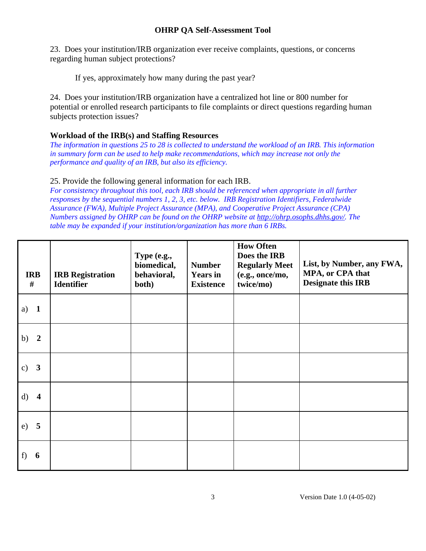23. Does your institution/IRB organization ever receive complaints, questions, or concerns regarding human subject protections?

If yes, approximately how many during the past year?

24. Does your institution/IRB organization have a centralized hot line or 800 number for potential or enrolled research participants to file complaints or direct questions regarding human subjects protection issues?

## **Workload of the IRB(s) and Staffing Resources**

*The information in questions 25 to 28 is collected to understand the workload of an IRB. This information in summary form can be used to help make recommendations, which may increase not only the performance and quality of an IRB, but also its efficiency.* 

#### 25. Provide the following general information for each IRB.

*For consistency throughout this tool, each IRB should be referenced when appropriate in all further responses by the sequential numbers 1, 2, 3, etc. below. IRB Registration Identifiers, Federalwide Assurance (FWA), Multiple Project Assurance (MPA), and Cooperative Project Assurance (CPA) Numbers assigned by OHRP can be found on the OHRP website at [http://ohrp.osophs.dhhs.gov/.](http://ohrp.osophs.dhhs.gov/) The table may be expanded if your institution/organization has more than 6 IRBs.* 

| <b>IRB</b><br>#                          | <b>IRB</b> Registration<br><b>Identifier</b> | Type (e.g.,<br>biomedical,<br>behavioral,<br>both) | <b>Number</b><br><b>Years</b> in<br><b>Existence</b> | <b>How Often</b><br>Does the IRB<br><b>Regularly Meet</b><br>(e.g., once/mo,<br>twice/mo) | List, by Number, any FWA,<br>MPA, or CPA that<br><b>Designate this IRB</b> |
|------------------------------------------|----------------------------------------------|----------------------------------------------------|------------------------------------------------------|-------------------------------------------------------------------------------------------|----------------------------------------------------------------------------|
| $\mathbf{1}$<br>a)                       |                                              |                                                    |                                                      |                                                                                           |                                                                            |
| $\overline{\mathbf{2}}$<br>b)            |                                              |                                                    |                                                      |                                                                                           |                                                                            |
| $\overline{\mathbf{3}}$<br>$\mathbf{c})$ |                                              |                                                    |                                                      |                                                                                           |                                                                            |
| d)<br>$\overline{\mathbf{4}}$            |                                              |                                                    |                                                      |                                                                                           |                                                                            |
| $\overline{5}$<br>e)                     |                                              |                                                    |                                                      |                                                                                           |                                                                            |
| 6<br>f)                                  |                                              |                                                    |                                                      |                                                                                           |                                                                            |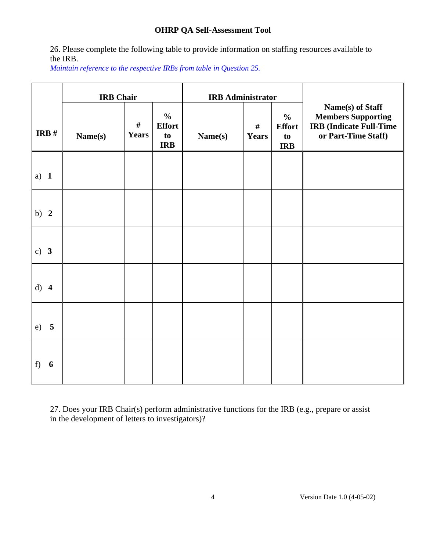26. Please complete the following table to provide information on staffing resources available to the IRB.

*Maintain reference to the respective IRBs from table in Question 25.*

|         | <b>IRB</b> Chair |                      |                                                    | <b>IRB</b> Administrator |                      |                                                    |                                                                                                        |
|---------|------------------|----------------------|----------------------------------------------------|--------------------------|----------------------|----------------------------------------------------|--------------------------------------------------------------------------------------------------------|
| IRB $#$ | Name(s)          | $\#$<br><b>Years</b> | $\frac{0}{0}$<br><b>Effort</b><br>to<br><b>IRB</b> | Name(s)                  | $\#$<br><b>Years</b> | $\frac{0}{0}$<br><b>Effort</b><br>to<br><b>IRB</b> | Name(s) of Staff<br><b>Members Supporting</b><br><b>IRB</b> (Indicate Full-Time<br>or Part-Time Staff) |
| a) $1$  |                  |                      |                                                    |                          |                      |                                                    |                                                                                                        |
| b) $2$  |                  |                      |                                                    |                          |                      |                                                    |                                                                                                        |
| c) $3$  |                  |                      |                                                    |                          |                      |                                                    |                                                                                                        |
| d) 4    |                  |                      |                                                    |                          |                      |                                                    |                                                                                                        |
| 5<br>e) |                  |                      |                                                    |                          |                      |                                                    |                                                                                                        |
| 6<br>f) |                  |                      |                                                    |                          |                      |                                                    |                                                                                                        |

27. Does your IRB Chair(s) perform administrative functions for the IRB (e.g., prepare or assist in the development of letters to investigators)?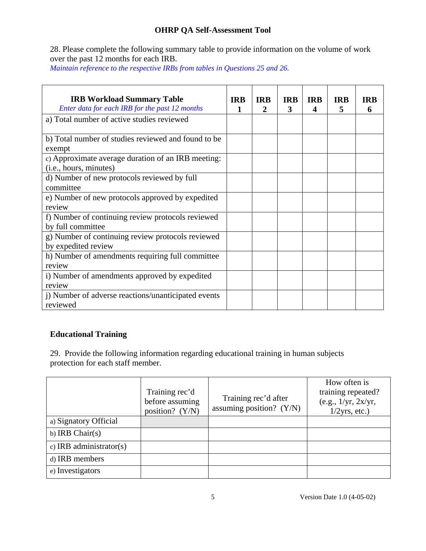28. Please complete the following summary table to provide information on the volume of work over the past 12 months for each IRB.

*Maintain reference to the respective IRBs from tables in Questions 25 and 26.* 

| <b>IRB Workload Summary Table</b><br>Enter data for each IRB for the past 12 months | <b>IRB</b><br>1 | <b>IRB</b><br>$\mathbf{2}$ | <b>IRB</b><br>3 | <b>IRB</b><br>$\boldsymbol{4}$ | <b>IRB</b><br>5 | <b>IRB</b><br>6 |
|-------------------------------------------------------------------------------------|-----------------|----------------------------|-----------------|--------------------------------|-----------------|-----------------|
| a) Total number of active studies reviewed                                          |                 |                            |                 |                                |                 |                 |
| b) Total number of studies reviewed and found to be<br>exempt                       |                 |                            |                 |                                |                 |                 |
| c) Approximate average duration of an IRB meeting:<br>(i.e., hours, minutes)        |                 |                            |                 |                                |                 |                 |
| d) Number of new protocols reviewed by full<br>committee                            |                 |                            |                 |                                |                 |                 |
| e) Number of new protocols approved by expedited<br>review                          |                 |                            |                 |                                |                 |                 |
| f) Number of continuing review protocols reviewed<br>by full committee              |                 |                            |                 |                                |                 |                 |
| g) Number of continuing review protocols reviewed<br>by expedited review            |                 |                            |                 |                                |                 |                 |
| h) Number of amendments requiring full committee<br>review                          |                 |                            |                 |                                |                 |                 |
| i) Number of amendments approved by expedited<br>review                             |                 |                            |                 |                                |                 |                 |
| i) Number of adverse reactions/unanticipated events<br>reviewed                     |                 |                            |                 |                                |                 |                 |

# **Educational Training**

29. Provide the following information regarding educational training in human subjects protection for each staff member.

|                         | Training rec'd<br>before assuming<br>position? (Y/N) | Training rec'd after<br>assuming position? (Y/N) | How often is<br>training repeated?<br>(e.g., 1/yr, 2x/yr,<br>$1/2yrs$ , etc.) |
|-------------------------|------------------------------------------------------|--------------------------------------------------|-------------------------------------------------------------------------------|
| a) Signatory Official   |                                                      |                                                  |                                                                               |
| b) IRB Chair $(s)$      |                                                      |                                                  |                                                                               |
| c) IRB administrator(s) |                                                      |                                                  |                                                                               |
| d) IRB members          |                                                      |                                                  |                                                                               |
| e) Investigators        |                                                      |                                                  |                                                                               |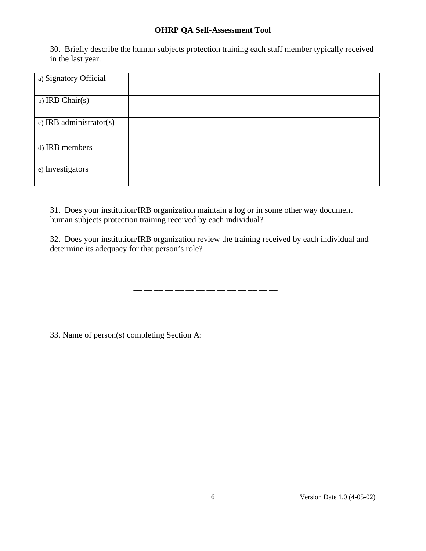30. Briefly describe the human subjects protection training each staff member typically received in the last year.

| a) Signatory Official   |  |
|-------------------------|--|
| b) IRB Chair(s)         |  |
| c) IRB administrator(s) |  |
| d) IRB members          |  |
| e) Investigators        |  |

31. Does your institution/IRB organization maintain a log or in some other way document human subjects protection training received by each individual?

32. Does your institution/IRB organization review the training received by each individual and determine its adequacy for that person's role?

\_\_ \_\_ \_\_ \_\_ \_\_ \_\_ \_\_ \_\_ \_\_ \_\_ \_\_ \_\_ \_\_ \_\_

33. Name of person(s) completing Section A: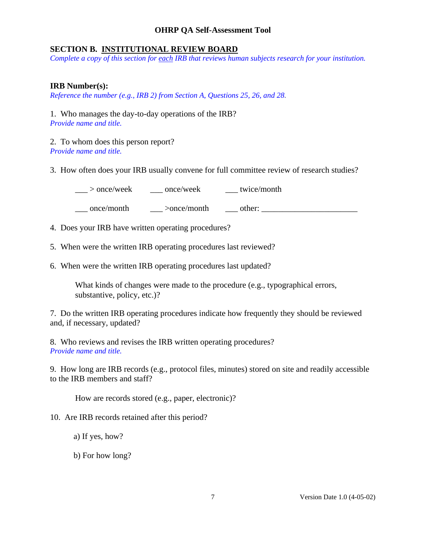#### **SECTION B. INSTITUTIONAL REVIEW BOARD**

*Complete a copy of this section for each IRB that reviews human subjects research for your institution.* 

#### **IRB Number(s):**

*Reference the number (e.g., IRB 2) from Section A, Questions 25, 26, and 28.* 

1. Who manages the day-to-day operations of the IRB? *Provide name and title.* 

2. To whom does this person report? *Provide name and title.* 

3. How often does your IRB usually convene for full committee review of research studies?

 $>$  once/week once/week twice/month

 $\frac{1}{\sqrt{2}}$  once/month  $\frac{1}{\sqrt{2}}$  >once/month  $\frac{1}{\sqrt{2}}$  other:  $\frac{1}{\sqrt{2}}$  other:

4. Does your IRB have written operating procedures?

5. When were the written IRB operating procedures last reviewed?

6. When were the written IRB operating procedures last updated?

What kinds of changes were made to the procedure (e.g., typographical errors, substantive, policy, etc.)?

7. Do the written IRB operating procedures indicate how frequently they should be reviewed and, if necessary, updated?

8. Who reviews and revises the IRB written operating procedures? *Provide name and title.* 

9. How long are IRB records (e.g., protocol files, minutes) stored on site and readily accessible to the IRB members and staff?

How are records stored (e.g., paper, electronic)?

10. Are IRB records retained after this period?

a) If yes, how?

b) For how long?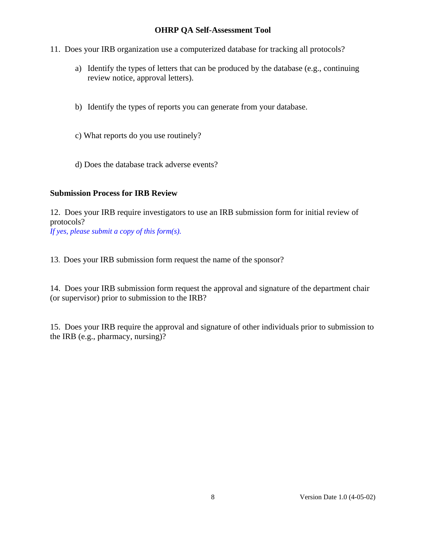- 11. Does your IRB organization use a computerized database for tracking all protocols?
	- a) Identify the types of letters that can be produced by the database (e.g., continuing review notice, approval letters).
	- b) Identify the types of reports you can generate from your database.
	- c) What reports do you use routinely?
	- d) Does the database track adverse events?

#### **Submission Process for IRB Review**

12. Does your IRB require investigators to use an IRB submission form for initial review of protocols?

*If yes, please submit a copy of this form(s).* 

13. Does your IRB submission form request the name of the sponsor?

14. Does your IRB submission form request the approval and signature of the department chair (or supervisor) prior to submission to the IRB?

15. Does your IRB require the approval and signature of other individuals prior to submission to the IRB (e.g., pharmacy, nursing)?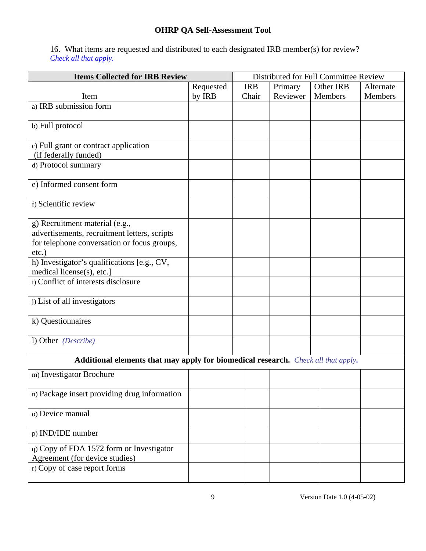16. What items are requested and distributed to each designated IRB member(s) for review? *Check all that apply.* 

| <b>Items Collected for IRB Review</b>                                                       |           |            | Distributed for Full Committee Review |           |           |  |  |
|---------------------------------------------------------------------------------------------|-----------|------------|---------------------------------------|-----------|-----------|--|--|
|                                                                                             | Requested | <b>IRB</b> | Primary                               | Other IRB | Alternate |  |  |
| Item                                                                                        | by IRB    | Chair      | Reviewer                              | Members   | Members   |  |  |
| a) IRB submission form                                                                      |           |            |                                       |           |           |  |  |
| b) Full protocol                                                                            |           |            |                                       |           |           |  |  |
| c) Full grant or contract application<br>(if federally funded)                              |           |            |                                       |           |           |  |  |
| d) Protocol summary                                                                         |           |            |                                       |           |           |  |  |
| e) Informed consent form                                                                    |           |            |                                       |           |           |  |  |
| f) Scientific review                                                                        |           |            |                                       |           |           |  |  |
| g) Recruitment material (e.g.,                                                              |           |            |                                       |           |           |  |  |
| advertisements, recruitment letters, scripts<br>for telephone conversation or focus groups, |           |            |                                       |           |           |  |  |
| $etc.$ )                                                                                    |           |            |                                       |           |           |  |  |
| h) Investigator's qualifications [e.g., CV,<br>medical license(s), etc.]                    |           |            |                                       |           |           |  |  |
| i) Conflict of interests disclosure                                                         |           |            |                                       |           |           |  |  |
| j) List of all investigators                                                                |           |            |                                       |           |           |  |  |
| k) Questionnaires                                                                           |           |            |                                       |           |           |  |  |
| 1) Other (Describe)                                                                         |           |            |                                       |           |           |  |  |
| Additional elements that may apply for biomedical research. Check all that apply.           |           |            |                                       |           |           |  |  |
| m) Investigator Brochure                                                                    |           |            |                                       |           |           |  |  |
| n) Package insert providing drug information                                                |           |            |                                       |           |           |  |  |
| o) Device manual                                                                            |           |            |                                       |           |           |  |  |
| p) IND/IDE number                                                                           |           |            |                                       |           |           |  |  |
| q) Copy of FDA 1572 form or Investigator<br>Agreement (for device studies)                  |           |            |                                       |           |           |  |  |
| r) Copy of case report forms                                                                |           |            |                                       |           |           |  |  |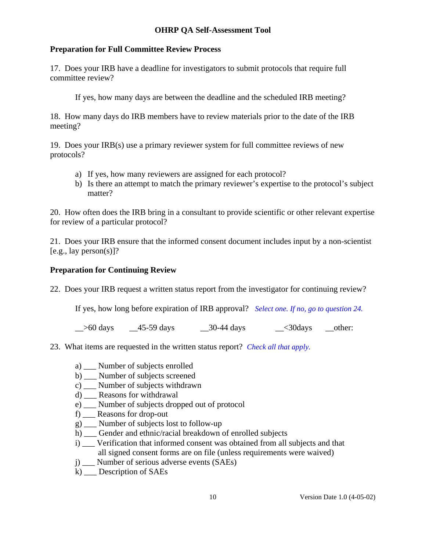# **Preparation for Full Committee Review Process**

17. Does your IRB have a deadline for investigators to submit protocols that require full committee review?

If yes, how many days are between the deadline and the scheduled IRB meeting?

18. How many days do IRB members have to review materials prior to the date of the IRB meeting?

19. Does your IRB(s) use a primary reviewer system for full committee reviews of new protocols?

- a) If yes, how many reviewers are assigned for each protocol?
- b) Is there an attempt to match the primary reviewer's expertise to the protocol's subject matter?

20. How often does the IRB bring in a consultant to provide scientific or other relevant expertise for review of a particular protocol?

21. Does your IRB ensure that the informed consent document includes input by a non-scientist  $[e.g., lay person(s)]$ ?

# **Preparation for Continuing Review**

22. Does your IRB request a written status report from the investigator for continuing review?

If yes, how long before expiration of IRB approval? *Select one. If no, go to question 24.*

 $\geq$  50 days  $\geq$  45-59 days  $\geq$  30-44 days  $\geq$  30days other:

- 23. What items are requested in the written status report? *Check all that apply.*
	- a) \_\_\_ Number of subjects enrolled
	- b) Number of subjects screened
	- c) \_\_\_ Number of subjects withdrawn
	- d) \_\_\_ Reasons for withdrawal
	- e) \_\_\_ Number of subjects dropped out of protocol
	- f) \_\_\_ Reasons for drop-out
	- g) \_\_\_ Number of subjects lost to follow-up
	- h) \_\_\_ Gender and ethnic/racial breakdown of enrolled subjects
	- i) \_\_\_ Verification that informed consent was obtained from all subjects and that all signed consent forms are on file (unless requirements were waived)
	- j) \_\_\_ Number of serious adverse events (SAEs)
	- k) \_\_\_ Description of SAEs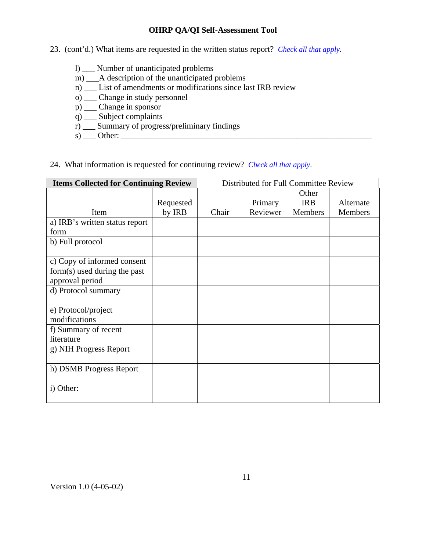- 23. (cont'd.) What items are requested in the written status report? *Check all that apply.*
	- l) \_\_\_ Number of unanticipated problems
	- m) \_\_\_A description of the unanticipated problems
	- n) \_\_\_ List of amendments or modifications since last IRB review
	- o) \_\_\_ Change in study personnel
	- p) \_\_\_ Change in sponsor
	- q) \_\_\_ Subject complaints
	- r) \_\_\_ Summary of progress/preliminary findings
	- s) \_\_\_ Other: \_\_\_\_\_\_\_\_\_\_\_\_\_\_\_\_\_\_\_\_\_\_\_\_\_\_\_\_\_\_\_\_\_\_\_\_\_\_\_\_\_\_\_\_\_\_\_\_\_\_\_\_\_\_\_\_\_\_\_\_

# 24. What information is requested for continuing review? *Check all that apply*.

| <b>Items Collected for Continuing Review</b> |           | Distributed for Full Committee Review |          |            |           |  |
|----------------------------------------------|-----------|---------------------------------------|----------|------------|-----------|--|
|                                              |           |                                       |          | Other      |           |  |
|                                              | Requested |                                       | Primary  | <b>IRB</b> | Alternate |  |
| Item                                         | by IRB    | Chair                                 | Reviewer | Members    | Members   |  |
| a) IRB's written status report               |           |                                       |          |            |           |  |
| form                                         |           |                                       |          |            |           |  |
| b) Full protocol                             |           |                                       |          |            |           |  |
|                                              |           |                                       |          |            |           |  |
| c) Copy of informed consent                  |           |                                       |          |            |           |  |
| form(s) used during the past                 |           |                                       |          |            |           |  |
| approval period                              |           |                                       |          |            |           |  |
| d) Protocol summary                          |           |                                       |          |            |           |  |
|                                              |           |                                       |          |            |           |  |
| e) Protocol/project                          |           |                                       |          |            |           |  |
| modifications                                |           |                                       |          |            |           |  |
| f) Summary of recent                         |           |                                       |          |            |           |  |
| literature                                   |           |                                       |          |            |           |  |
| g) NIH Progress Report                       |           |                                       |          |            |           |  |
|                                              |           |                                       |          |            |           |  |
| h) DSMB Progress Report                      |           |                                       |          |            |           |  |
|                                              |           |                                       |          |            |           |  |
| i) Other:                                    |           |                                       |          |            |           |  |
|                                              |           |                                       |          |            |           |  |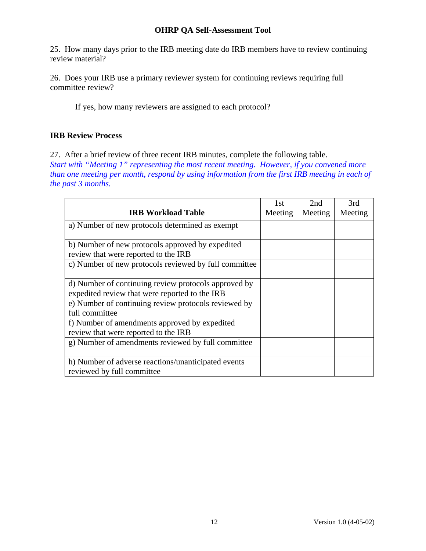25. How many days prior to the IRB meeting date do IRB members have to review continuing review material?

26. Does your IRB use a primary reviewer system for continuing reviews requiring full committee review?

If yes, how many reviewers are assigned to each protocol?

# **IRB Review Process**

27. After a brief review of three recent IRB minutes, complete the following table. *Start with "Meeting 1" representing the most recent meeting. However, if you convened more than one meeting per month, respond by using information from the first IRB meeting in each of the past 3 months.* 

|                                                       | 1st     | 2nd     | 3rd     |
|-------------------------------------------------------|---------|---------|---------|
| <b>IRB Workload Table</b>                             | Meeting | Meeting | Meeting |
| a) Number of new protocols determined as exempt       |         |         |         |
|                                                       |         |         |         |
| b) Number of new protocols approved by expedited      |         |         |         |
| review that were reported to the IRB                  |         |         |         |
| c) Number of new protocols reviewed by full committee |         |         |         |
|                                                       |         |         |         |
| d) Number of continuing review protocols approved by  |         |         |         |
| expedited review that were reported to the IRB        |         |         |         |
| e) Number of continuing review protocols reviewed by  |         |         |         |
| full committee                                        |         |         |         |
| f) Number of amendments approved by expedited         |         |         |         |
| review that were reported to the IRB                  |         |         |         |
| g) Number of amendments reviewed by full committee    |         |         |         |
|                                                       |         |         |         |
| h) Number of adverse reactions/unanticipated events   |         |         |         |
| reviewed by full committee                            |         |         |         |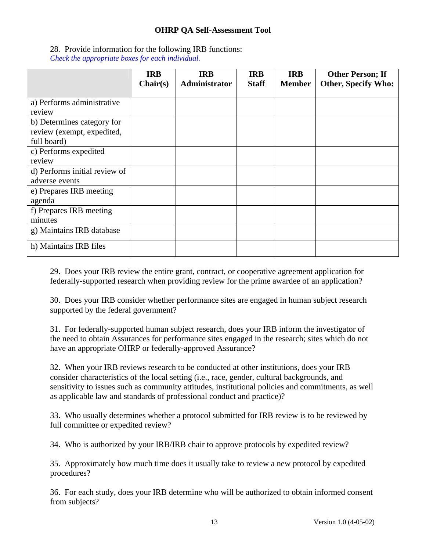# 28*.* Provide information for the following IRB functions:

*Check the appropriate boxes for each individual.* 

|                                                                         | <b>IRB</b><br>Chair(s) | <b>IRB</b><br>Administrator | <b>IRB</b><br><b>Staff</b> | <b>IRB</b><br><b>Member</b> | <b>Other Person; If</b><br><b>Other, Specify Who:</b> |
|-------------------------------------------------------------------------|------------------------|-----------------------------|----------------------------|-----------------------------|-------------------------------------------------------|
| a) Performs administrative<br>review                                    |                        |                             |                            |                             |                                                       |
| b) Determines category for<br>review (exempt, expedited,<br>full board) |                        |                             |                            |                             |                                                       |
| c) Performs expedited<br>review                                         |                        |                             |                            |                             |                                                       |
| d) Performs initial review of<br>adverse events                         |                        |                             |                            |                             |                                                       |
| e) Prepares IRB meeting<br>agenda                                       |                        |                             |                            |                             |                                                       |
| f) Prepares IRB meeting<br>minutes                                      |                        |                             |                            |                             |                                                       |
| g) Maintains IRB database                                               |                        |                             |                            |                             |                                                       |
| h) Maintains IRB files                                                  |                        |                             |                            |                             |                                                       |

29. Does your IRB review the entire grant, contract, or cooperative agreement application for federally-supported research when providing review for the prime awardee of an application?

30. Does your IRB consider whether performance sites are engaged in human subject research supported by the federal government?

31. For federally-supported human subject research, does your IRB inform the investigator of the need to obtain Assurances for performance sites engaged in the research; sites which do not have an appropriate OHRP or federally-approved Assurance?

32. When your IRB reviews research to be conducted at other institutions, does your IRB consider characteristics of the local setting (i.e., race, gender, cultural backgrounds, and sensitivity to issues such as community attitudes, institutional policies and commitments, as well as applicable law and standards of professional conduct and practice)?

33. Who usually determines whether a protocol submitted for IRB review is to be reviewed by full committee or expedited review?

34. Who is authorized by your IRB/IRB chair to approve protocols by expedited review?

35. Approximately how much time does it usually take to review a new protocol by expedited procedures?

36. For each study, does your IRB determine who will be authorized to obtain informed consent from subjects?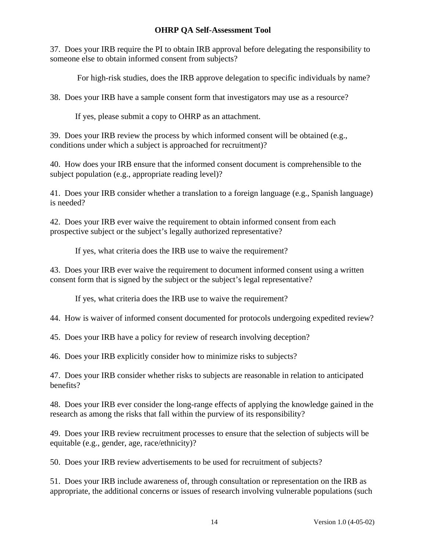37. Does your IRB require the PI to obtain IRB approval before delegating the responsibility to someone else to obtain informed consent from subjects?

For high-risk studies, does the IRB approve delegation to specific individuals by name?

38. Does your IRB have a sample consent form that investigators may use as a resource?

If yes, please submit a copy to OHRP as an attachment.

39. Does your IRB review the process by which informed consent will be obtained (e.g., conditions under which a subject is approached for recruitment)?

40. How does your IRB ensure that the informed consent document is comprehensible to the subject population (e.g., appropriate reading level)?

41. Does your IRB consider whether a translation to a foreign language (e.g., Spanish language) is needed?

42. Does your IRB ever waive the requirement to obtain informed consent from each prospective subject or the subject's legally authorized representative?

If yes, what criteria does the IRB use to waive the requirement?

43. Does your IRB ever waive the requirement to document informed consent using a written consent form that is signed by the subject or the subject's legal representative?

If yes, what criteria does the IRB use to waive the requirement?

44. How is waiver of informed consent documented for protocols undergoing expedited review?

45. Does your IRB have a policy for review of research involving deception?

46. Does your IRB explicitly consider how to minimize risks to subjects?

47. Does your IRB consider whether risks to subjects are reasonable in relation to anticipated benefits?

48. Does your IRB ever consider the long-range effects of applying the knowledge gained in the research as among the risks that fall within the purview of its responsibility?

49. Does your IRB review recruitment processes to ensure that the selection of subjects will be equitable (e.g., gender, age, race/ethnicity)?

50. Does your IRB review advertisements to be used for recruitment of subjects?

51. Does your IRB include awareness of, through consultation or representation on the IRB as appropriate, the additional concerns or issues of research involving vulnerable populations (such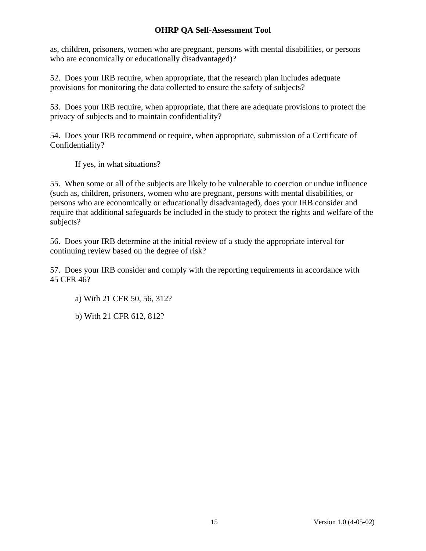as, children, prisoners, women who are pregnant, persons with mental disabilities, or persons who are economically or educationally disadvantaged)?

52. Does your IRB require, when appropriate, that the research plan includes adequate provisions for monitoring the data collected to ensure the safety of subjects?

53. Does your IRB require, when appropriate, that there are adequate provisions to protect the privacy of subjects and to maintain confidentiality?

54. Does your IRB recommend or require, when appropriate, submission of a Certificate of Confidentiality?

If yes, in what situations?

55. When some or all of the subjects are likely to be vulnerable to coercion or undue influence (such as, children, prisoners, women who are pregnant, persons with mental disabilities, or persons who are economically or educationally disadvantaged), does your IRB consider and require that additional safeguards be included in the study to protect the rights and welfare of the subjects?

56. Does your IRB determine at the initial review of a study the appropriate interval for continuing review based on the degree of risk?

57. Does your IRB consider and comply with the reporting requirements in accordance with 45 CFR 46?

a) With 21 CFR 50, 56, 312?

b) With 21 CFR 612, 812?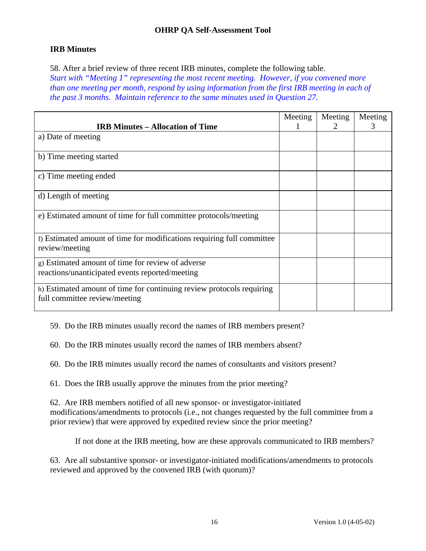# **IRB Minutes**

58. After a brief review of three recent IRB minutes, complete the following table. *Start with "Meeting 1" representing the most recent meeting. However, if you convened more than one meeting per month, respond by using information from the first IRB meeting in each of the past 3 months. Maintain reference to the same minutes used in Question 27.* 

| <b>IRB Minutes – Allocation of Time</b>                                                                | Meeting | Meeting<br>$\mathbf{2}$ | Meeting<br>3 |
|--------------------------------------------------------------------------------------------------------|---------|-------------------------|--------------|
| a) Date of meeting                                                                                     |         |                         |              |
| b) Time meeting started                                                                                |         |                         |              |
| c) Time meeting ended                                                                                  |         |                         |              |
| d) Length of meeting                                                                                   |         |                         |              |
| e) Estimated amount of time for full committee protocols/meeting                                       |         |                         |              |
| f) Estimated amount of time for modifications requiring full committee<br>review/meeting               |         |                         |              |
| g) Estimated amount of time for review of adverse<br>reactions/unanticipated events reported/meeting   |         |                         |              |
| h) Estimated amount of time for continuing review protocols requiring<br>full committee review/meeting |         |                         |              |

59. Do the IRB minutes usually record the names of IRB members present?

60. Do the IRB minutes usually record the names of IRB members absent?

60. Do the IRB minutes usually record the names of consultants and visitors present?

61. Does the IRB usually approve the minutes from the prior meeting?

62. Are IRB members notified of all new sponsor- or investigator-initiated modifications/amendments to protocols (i.e., not changes requested by the full committee from a prior review) that were approved by expedited review since the prior meeting?

If not done at the IRB meeting, how are these approvals communicated to IRB members?

63. Are all substantive sponsor- or investigator-initiated modifications/amendments to protocols reviewed and approved by the convened IRB (with quorum)?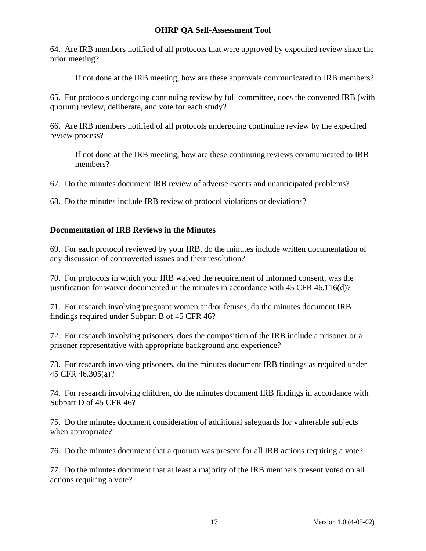64. Are IRB members notified of all protocols that were approved by expedited review since the prior meeting?

If not done at the IRB meeting, how are these approvals communicated to IRB members?

65. For protocols undergoing continuing review by full committee, does the convened IRB (with quorum) review, deliberate, and vote for each study?

66. Are IRB members notified of all protocols undergoing continuing review by the expedited review process?

If not done at the IRB meeting, how are these continuing reviews communicated to IRB members?

67. Do the minutes document IRB review of adverse events and unanticipated problems?

68. Do the minutes include IRB review of protocol violations or deviations?

## **Documentation of IRB Reviews in the Minutes**

69. For each protocol reviewed by your IRB, do the minutes include written documentation of any discussion of controverted issues and their resolution?

70. For protocols in which your IRB waived the requirement of informed consent, was the justification for waiver documented in the minutes in accordance with 45 CFR 46.116(d)?

71. For research involving pregnant women and/or fetuses, do the minutes document IRB findings required under Subpart B of 45 CFR 46?

72. For research involving prisoners, does the composition of the IRB include a prisoner or a prisoner representative with appropriate background and experience?

73. For research involving prisoners, do the minutes document IRB findings as required under 45 CFR 46.305(a)?

74. For research involving children, do the minutes document IRB findings in accordance with Subpart D of 45 CFR 46?

75. Do the minutes document consideration of additional safeguards for vulnerable subjects when appropriate?

76. Do the minutes document that a quorum was present for all IRB actions requiring a vote?

77. Do the minutes document that at least a majority of the IRB members present voted on all actions requiring a vote?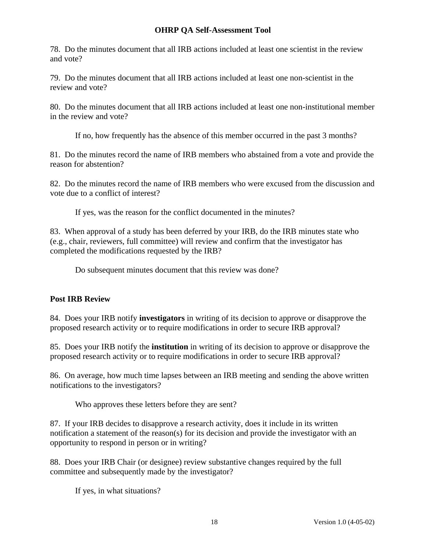78. Do the minutes document that all IRB actions included at least one scientist in the review and vote?

79. Do the minutes document that all IRB actions included at least one non-scientist in the review and vote?

80. Do the minutes document that all IRB actions included at least one non-institutional member in the review and vote?

If no, how frequently has the absence of this member occurred in the past 3 months?

81. Do the minutes record the name of IRB members who abstained from a vote and provide the reason for abstention?

82. Do the minutes record the name of IRB members who were excused from the discussion and vote due to a conflict of interest?

If yes, was the reason for the conflict documented in the minutes?

83. When approval of a study has been deferred by your IRB, do the IRB minutes state who (e.g., chair, reviewers, full committee) will review and confirm that the investigator has completed the modifications requested by the IRB?

Do subsequent minutes document that this review was done?

# **Post IRB Review**

84. Does your IRB notify **investigators** in writing of its decision to approve or disapprove the proposed research activity or to require modifications in order to secure IRB approval?

85. Does your IRB notify the **institution** in writing of its decision to approve or disapprove the proposed research activity or to require modifications in order to secure IRB approval?

86. On average, how much time lapses between an IRB meeting and sending the above written notifications to the investigators?

Who approves these letters before they are sent?

87. If your IRB decides to disapprove a research activity, does it include in its written notification a statement of the reason(s) for its decision and provide the investigator with an opportunity to respond in person or in writing?

88. Does your IRB Chair (or designee) review substantive changes required by the full committee and subsequently made by the investigator?

If yes, in what situations?